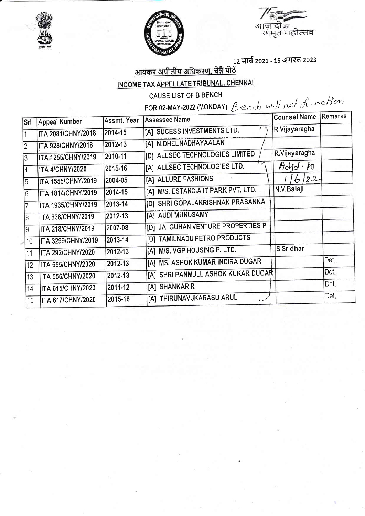





## <u>आयकर अपीलीय अधिकरण, चेन्नै पीठें</u> INCOME TAX APPELLATE TRIBUNAL, CHENNAI

CAUSE LIST OF B BENCH

FOR 02-MAY-2022 (MONDAY) Bench will not function

| Srl            | <b>Appeal Number</b>      | Assmt. Year | <b>Assessee Name</b>                | Counsel Name Remarks |      |
|----------------|---------------------------|-------------|-------------------------------------|----------------------|------|
|                | <b>ITA 2081/CHNY/2018</b> | 2014-15     | [A] SUCESS INVESTMENTS LTD.         | R.Vijayaragha        |      |
| $\overline{2}$ | <b>ITA 928/CHNY/2018</b>  | 2012-13     | [A] N.DHEENADHAYAALAN               |                      |      |
| 3              | ITA 1255/CHNY/2019        | 2010-11     | [D] ALLSEC TECHNOLOGIES LIMITED     | R.Vijayaragha        |      |
| $\overline{A}$ | <b>ITA 4/CHNY/2020</b>    | 2015-16     | [A] ALLSEC TECHNOLOGIES LTD.        | $H$ did $\cdot h$    |      |
| 5              | <b>ITA 1555/CHNY/2019</b> | 2004-05     | [A] ALLURE FASHIONS                 | 6122                 |      |
| 16             | <b>ITA 1814/CHNY/2019</b> | 2014-15     | [A] M/S. ESTANCIA IT PARK PVT. LTD. | N.V.Balaji           |      |
| 7              | ITA 1935/CHNY/2019        | 2013-14     | [D] SHRI GOPALAKRISHNAN PRASANNA    |                      |      |
| 18             | <b>ITA 838/CHNY/2019</b>  | 2012-13     | [A] AUDI MUNUSAMY                   |                      |      |
| 19             | ITA 218/CHNY/2019         | 2007-08     | [D] JAI GUHAN VENTURE PROPERTIES P  |                      |      |
| 10             | ITA 3299/CHNY/2019        | 2013-14     | [D] TAMILNADU PETRO PRODUCTS        |                      |      |
| 11             | <b>ITA 292/CHNY/2020</b>  | 2012-13     | [A] M/S. VGP HOUSING P. LTD.        | S.Sridhar            |      |
| 12             | <b>ITA 555/CHNY/2020</b>  | 2012-13     | [A] MS. ASHOK KUMAR INDIRA DUGAR    |                      | Def. |
| $ 13\rangle$   | <b>ITA 556/CHNY/2020</b>  | 2012-13     | [A] SHRI PANMULL ASHOK KUKAR DUGAR  |                      | Def. |
| 14             | <b>ITA 615/CHNY/2020</b>  | 2011-12     | [A] SHANKAR R                       |                      | Def. |
| 15             | <b>ITA 617/CHNY/2020</b>  | 2015-16     | [A] THIRUNAVUKARASU ARUL            |                      | Def. |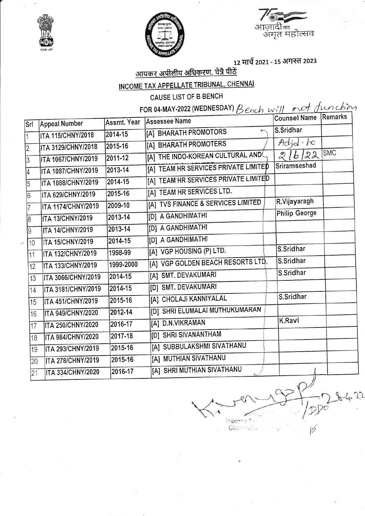





## <u>आयकर अपीलीय अधिकरण, चेन्नै पीठें</u>

## INCOME TAX APPELLATE TRIBUNAL, CHENNAI

CAUSE LIST OF B BENCH

FOR 04-MAY-2022 (WEDNESDAY) Bench will not function

| Srl            | <b>Appeal Number</b>      | Assmt. Year | <b>Assessee Name</b>                              | <b>Counsel Name</b>    | Remarks    |
|----------------|---------------------------|-------------|---------------------------------------------------|------------------------|------------|
| $\overline{1}$ | <b>ITA 115/CHNY/2018</b>  | 2014-15     | [A] BHARATH PROMOTORS<br>$\overline{\phantom{0}}$ | S. Sridhar             |            |
| $\overline{2}$ | ITA 3129/CHNY/2018        | 2015-16     | [A] BHARATH PROMOTERS                             | Add·b                  |            |
| 3              | ITA 1067/CHNY/2019        | 2011-12     | [A] THE INDO-KOREAN CULTURAL AND                  | 16/22<br>$\mathcal{Q}$ | <b>SMC</b> |
| $\overline{4}$ | ITA 1087/CHNY/2019        | 2013-14     | [A] TEAM HR SERVICES PRIVATE LIMITED              | Sriramseshad           |            |
| $\overline{5}$ | ITA 1088/CHNY/2019        | 2014-15     | [A] TEAM HR SERVICES PRIVATE LIMITED              |                        |            |
| 16             | ITA 629/CHNY/2019         | 2015-16     | [A] TEAM HR SERVICES LTD.                         |                        |            |
| 17             | <b>ITA 1174/CHNY/2019</b> | 2009-10     | [A] TVS FINANCE & SERVICES LIMITED                | R.Vijayaragh           |            |
| 8              | <b>ITA 13/CHNY/2019</b>   | 2013-14     | [D] A GANDHIMATHI                                 | <b>Philip George</b>   |            |
| 9              | <b>ITA 14/CHNY/2019</b>   | 2013-14     | [D] A GANDHIMATHI                                 |                        |            |
| 10             | <b>ITA 15/CHNY/2019</b>   | 2014-15     | [D] A GANDHIMATHI                                 |                        |            |
| 11             | ITA 132/CHNY/2019         | 1998-99     | [A] VGP HOUSING (P) LTD.                          | S.Sridhar              |            |
| 12             | <b>ITA 133/CHNY/2019</b>  | 1999-2000   | [A] VGP GOLDEN BEACH RESORTS LTD.                 | S.Sridhar              |            |
| 13             | ITA 3066/CHNY/2019        | 2014-15     | [A] SMT. DEVAKUMARI                               | S.Sridhar              |            |
| 14             | <b>ITA 3181/CHNY/2019</b> | 2014-15     | [D] SMT. DEVAKUMARI                               |                        |            |
| 15             | ITA 451/CHNY/2019         | 2015-16     | [A] CHOLAJI KANNIYALAL                            | S.Sridhar              |            |
| 16             | <b>ITA 949/CHNY/2020</b>  | 2012-14     | [D] SHRI ELUMALAI MUTHUKUMARAN                    |                        |            |
| 17             | <b>ITA 250/CHNY/2020</b>  | 2016-17     | [A] D.N.VIKRAMAN                                  | K.Ravi                 |            |
| 18             | <b>ITA 984/CHNY/2020</b>  | 2017-18     | [D] SHRI SIVANANTHAM                              |                        |            |
| 19             | ITA 293/CHNY/2019         | 2015-16     | [A] SUBBULAKSHMI SIVATHANU                        |                        |            |
| 20             | <b>ITA 278/CHNY/2019</b>  | 2015-16     | [A] MUTHIAN SIVATHANU                             |                        |            |
| 21             | <b>ITA 334/CHNY/2020</b>  | 2016-17     | [A] SHRI MUTHIAN SIVATHANU                        |                        |            |

incor ٠ö, Gharmul L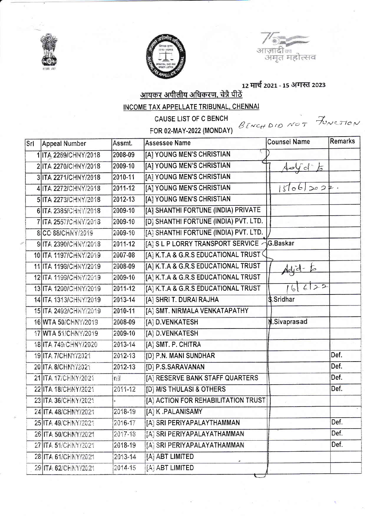



आज़ादीक<br>- अमृत महोत्सव

<u>आयकर अपीलीय अधिकरण, चेन्नै पीठें</u>

INCOME TAX APPELLATE TRIBUNAL, CHENNAL

|     |                       |         | <b>CAUSE LIST OF C BENCH</b>          | BENCHDID NOT FUNCTION |                |
|-----|-----------------------|---------|---------------------------------------|-----------------------|----------------|
|     |                       |         | FOR 02-MAY-2022 (MONDAY)              |                       |                |
| Srl | Appeal Number         | Assmt.  | <b>Assessee Name</b>                  | <b>Counsel Name</b>   | <b>Remarks</b> |
|     | 1 ITA 2269/CHNY/2018  | 2008-09 | [A] YOUNG MEN'S CHRISTIAN             |                       |                |
|     | 2 ITA 2270/CHNY/2018  | 2009-10 | [A] YOUNG MEN'S CHRISTIAN             | 40ydE                 |                |
|     | 3 ITA 2271/CHNY/2018  | 2010-11 | [A] YOUNG MEN'S CHRISTIAN             |                       |                |
|     | 4 ITA 2272/CHNY/2018  | 2011-12 | [A] YOUNG MEN'S CHRISTIAN             | $15106$ 2022.         |                |
|     | 5 ITA 2273/CHNY/2018  | 2012-13 | [A] YOUNG MEN'S CHRISTIAN             |                       |                |
|     | 6 ITA 2385/CHNY/2018  | 2009-10 | [A] SHANTHI FORTUNE (INDIA) PRIVATE   |                       |                |
|     | 7 ITA 2557/CHNY/2018  | 2009-10 | [D] SHANTHI FORTUNE (INDIA) PVT. LTD. |                       |                |
|     | 8 CO 88/CHNY/2019     | 2009-10 | [A] SHANTHI FORTUNE (INDIA) PVT. LTD. |                       |                |
|     | 9 ITA 2390/CHNY/2018  | 2011-12 | [A] S L P LORRY TRANSPORT SERVICE     | G.Baskar              |                |
|     | 10 ITA 1197/CHNY/2019 | 2007-08 | [A] K.T.A & G.R.S EDUCATIONAL TRUST   |                       |                |
|     | 11 ITA 1198/CHNY/2019 | 2008-09 | [A] K.T.A & G.R.S EDUCATIONAL TRUST   | $dd^-$                |                |
|     | 12 ITA 1199/CHNY/2019 | 2009-10 | [A] K.T.A & G.R.S EDUCATIONAL TRUST   |                       |                |
|     | 13 ITA 1200/CHNY/2019 | 2011-12 | [A] K.T.A & G.R.S EDUCATIONAL TRUST   | 622                   |                |
|     | 14 ITA 1313/CHNY/2019 | 2013-14 | [A] SHRI T. DURAI RAJHA               | \$.Sridhar            |                |
|     | 15 ITA 2492/CHNY/2019 | 2010-11 | [A] SMT. NIRMALA VENKATAPATHY         |                       |                |
|     | 16 WTA 50/CHNY/2019   | 2008-09 | [A] D.VENKATESH                       | <b>M.Sivaprasad</b>   |                |
|     | 17 WTA 51/CHNY/2019   | 2009-10 | [A] D.VENKATESH                       |                       |                |
|     | 18 ITA 749/CHNY/2020  | 2013-14 | [A] SMT. P. CHITRA                    |                       |                |
|     | 19 ITA 7/CHNY/2021    | 2012-13 | [D] P.N. MANI SUNDHAR                 |                       | Def.           |
|     | 20 ITA 8/CHNY/2021    | 2012-13 | <b>ID P.S.SARAVANAN</b>               |                       | Def.           |
|     | 21 ITA 17/CHNY/2021   | nii     | [A] RESERVE BANK STAFF QUARTERS       |                       | Def.           |
|     | 22 ITA 18/CHNY/2021   | 2011-12 | [D] M/S THULASI & OTHERS              |                       | Def.           |
|     | 23 ITA 36/CHNY/2021   |         | [A] ACTION FOR REHABILITATION TRUST   |                       |                |
|     | 24 ITA 48/CHNY/2021   | 2018-19 | [A] K.PALANISAMY                      |                       |                |
|     | 25 ITA 49/CHNY/2021   | 2016-17 | [A] SRI PERIYAPALAYTHAMMAN            |                       | Def.           |
|     | 26 ITA 50/CHNY/2021   | 2017-18 | [A] SRI PERIYAPALAYATHAMMAN           |                       | Def.           |
|     | 27 ITA 51/CHNY/2021   | 2018-19 | [A] SRI PERIYAPALAYATHAMMAN           |                       | Def.           |
|     | 28 ITA 61/CHNY/2021   | 2013-14 | <b>[A] ABT LIMITED</b>                |                       |                |
|     | 29 ITA 62/CHNY/2021   | 2014-15 | [A] ABT LIMITED                       |                       |                |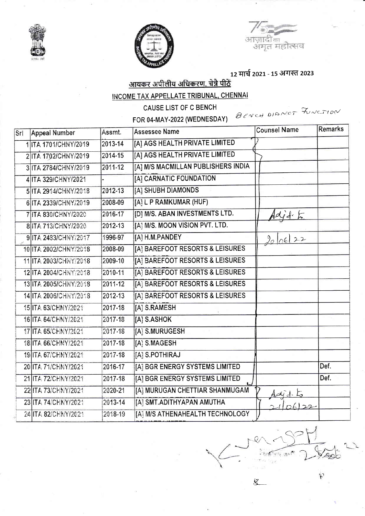



आज़ ंदना .<br>अमत महोत्सव

 $\bar{\mathcal{K}}$ 

<u>आयकर अपीलीय अधिकरण, चेन्नै पीठें</u>

INCOME TAX APPELLATE TRIBUNAL, CHENNAI

CAUSE LIST OF C BENCH

FOR 04-MAY-2022 (WEDNESDAY)

BENCH DIANOT FUNCTION

| Assmt.                                                                                                                                                                                                                                                                                                                                                                                                                                                                                                                                                                                                       | <b>Assessee Name</b>               | <b>Counsel Name</b>                                      | <b>Remarks</b> |
|--------------------------------------------------------------------------------------------------------------------------------------------------------------------------------------------------------------------------------------------------------------------------------------------------------------------------------------------------------------------------------------------------------------------------------------------------------------------------------------------------------------------------------------------------------------------------------------------------------------|------------------------------------|----------------------------------------------------------|----------------|
| 2013-14                                                                                                                                                                                                                                                                                                                                                                                                                                                                                                                                                                                                      | [A] AGS HEALTH PRIVATE LIMITED     |                                                          |                |
| 2014-15                                                                                                                                                                                                                                                                                                                                                                                                                                                                                                                                                                                                      | [A] AGS HEALTH PRIVATE LIMITED     |                                                          |                |
| 2011-12                                                                                                                                                                                                                                                                                                                                                                                                                                                                                                                                                                                                      | [A] M/S MACMILLAN PUBLISHERS INDIA |                                                          |                |
|                                                                                                                                                                                                                                                                                                                                                                                                                                                                                                                                                                                                              | [A] CARNATIC FOUNDATION            |                                                          |                |
| 2012-13                                                                                                                                                                                                                                                                                                                                                                                                                                                                                                                                                                                                      | [A] SHUBH DIAMONDS                 |                                                          |                |
| 2008-09                                                                                                                                                                                                                                                                                                                                                                                                                                                                                                                                                                                                      |                                    |                                                          |                |
| 2016-17                                                                                                                                                                                                                                                                                                                                                                                                                                                                                                                                                                                                      | [D] M/S. ABAN INVESTMENTS LTD.     | $104 + 5$                                                |                |
| 2012-13                                                                                                                                                                                                                                                                                                                                                                                                                                                                                                                                                                                                      |                                    |                                                          |                |
| 1996-97                                                                                                                                                                                                                                                                                                                                                                                                                                                                                                                                                                                                      | [A] H.M.PANDEY                     | 200622                                                   |                |
| 2008-09                                                                                                                                                                                                                                                                                                                                                                                                                                                                                                                                                                                                      | [A] BAREFOOT RESORTS & LEISURES    |                                                          |                |
| 2009-10                                                                                                                                                                                                                                                                                                                                                                                                                                                                                                                                                                                                      | [A] BAREFOOT RESORTS & LEISURES    |                                                          |                |
| 2010-11                                                                                                                                                                                                                                                                                                                                                                                                                                                                                                                                                                                                      | [A] BAREFOOT RESORTS & LEISURES    |                                                          |                |
| 2011-12                                                                                                                                                                                                                                                                                                                                                                                                                                                                                                                                                                                                      | [A] BAREFOOT RESORTS & LEISURES    |                                                          |                |
| 2012-13                                                                                                                                                                                                                                                                                                                                                                                                                                                                                                                                                                                                      | [A] BAREFOOT RESORTS & LEISURES    |                                                          |                |
| 2017-18                                                                                                                                                                                                                                                                                                                                                                                                                                                                                                                                                                                                      | [A] S.RAMESH                       |                                                          |                |
| 2017-18                                                                                                                                                                                                                                                                                                                                                                                                                                                                                                                                                                                                      | [A] S.ASHOK                        |                                                          |                |
| 2017-18                                                                                                                                                                                                                                                                                                                                                                                                                                                                                                                                                                                                      | [A] S.MURUGESH                     |                                                          |                |
| 2017-18                                                                                                                                                                                                                                                                                                                                                                                                                                                                                                                                                                                                      | [A] S.MAGESH                       |                                                          |                |
| 2017-18                                                                                                                                                                                                                                                                                                                                                                                                                                                                                                                                                                                                      | [A] S.POTHIRAJ                     |                                                          |                |
| 2016-17                                                                                                                                                                                                                                                                                                                                                                                                                                                                                                                                                                                                      | [A] BGR ENERGY SYSTEMS LIMITED     |                                                          | Def.           |
| 2017-18                                                                                                                                                                                                                                                                                                                                                                                                                                                                                                                                                                                                      | [A] BGR ENERGY SYSTEMS LIMITED     |                                                          | Def.           |
| 2020-21                                                                                                                                                                                                                                                                                                                                                                                                                                                                                                                                                                                                      | [A] MURUGAN CHETTIAR SHANMUGAM     |                                                          |                |
| 2013-14                                                                                                                                                                                                                                                                                                                                                                                                                                                                                                                                                                                                      | [A] SMT.ADITHYAPAN AMUTHA          |                                                          |                |
| 2018-19                                                                                                                                                                                                                                                                                                                                                                                                                                                                                                                                                                                                      | [A] M/S ATHENAHEALTH TECHNOLOGY    |                                                          |                |
| <b>Appeal Number</b><br>1 ITA 1701/CHNY/2019<br>2 ITA 1702/CHNY/2019<br>3 ITA 2784/CHNY/2019<br>4 ITA 329/CHNY/2021<br>5 ITA 2914/CHNY/2018<br>6 ITA 2339/CHNY/2019<br>7 ITA 830/CHNY/2020<br>8 ITA 713/CHNY/2020<br>9 ITA 2483/CHNY/2017<br>10 ITA 2002/CHNY/2018<br>11 ITA 2003/CHNY/2018<br>12 ITA 2004/CHNY/2018<br>13 ITA 2005/CHNY/2018<br>14 ITA 2006/CHNY/2018<br>15 ITA 63/CHNY/2021<br>16 ITA 64/CHNY/2021<br>17 ITA 65/CHNY/2021<br>18 ITA 66/CHNY/2021<br>19 ITA 67/CHNY/2021<br>20 ITA 71/CHNY/2021<br>21 ITA 72/CHNY/2021<br>22 ITA 73/CHNY/2021<br>23 ITA 74/CHNY/2021<br>24 ITA 82/CHNY/2021 |                                    | [A] L P RAMKUMAR (HUF)<br>[A] M/S. MOON VISION PVT. LTD. |                |